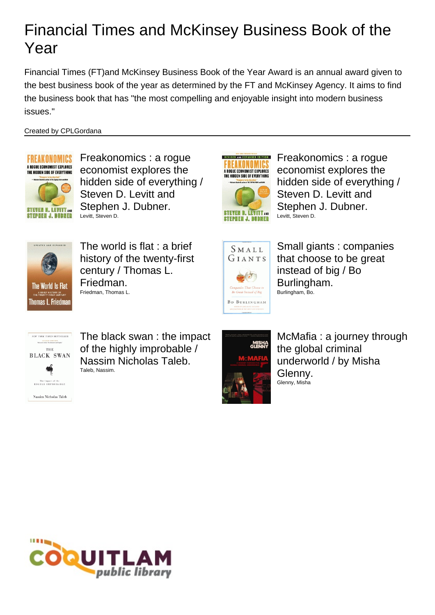Financial Times (FT)and McKinsey Business Book of the Year Award is an annual award given to the best business book of the year as determined by the FT and McKinsey Agency. It aims to find the business book that has "the most compelling and enjoyable insight into modern business issues."

#### Created by CPLGordana



**STEPHEN J. DUBNER** 

Freakonomics : a rogue economist explores the hidden side of everything / Steven D. Levitt and Stephen J. Dubner. Levitt, Steven D.



Freakonomics : a rogue economist explores the hidden side of everything / Steven D. Levitt and Stephen J. Dubner. Levitt, Steven D.



The world is flat : a brief history of the twenty-first century / Thomas L. Friedman. Friedman, Thomas L.



Small giants : companies that choose to be great instead of big / Bo Burlingham. Burlingham, Bo.



The black swan : the impact of the highly improbable / Nassim Nicholas Taleb. Taleb, Nassim.



McMafia : a journey through the global criminal underworld / by Misha Glenny. Glenny, Misha

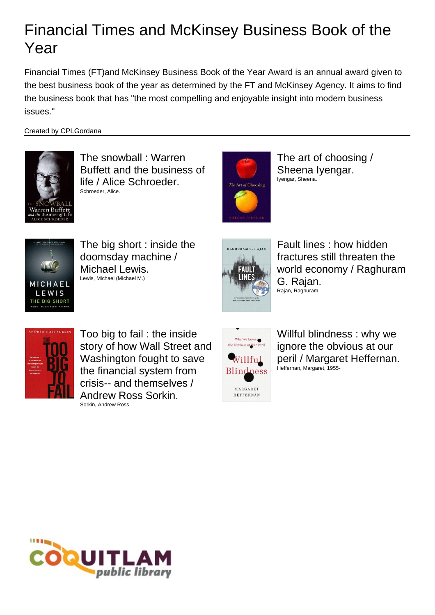Financial Times (FT)and McKinsey Business Book of the Year Award is an annual award given to the best business book of the year as determined by the FT and McKinsey Agency. It aims to find the business book that has "the most compelling and enjoyable insight into modern business issues."

#### Created by CPLGordana



The snowball : Warren Buffett and the business of life / Alice Schroeder. Schroeder, Alice.



The art of choosing / Sheena Iyengar. Iyengar, Sheena.



The big short : inside the doomsday machine / Michael Lewis. Lewis, Michael (Michael M.)



Fault lines : how hidden fractures still threaten the world economy / Raghuram G. Rajan. Rajan, Raghuram.



Too big to fail : the inside story of how Wall Street and Washington fought to save the financial system from crisis-- and themselves / Andrew Ross Sorkin. Sorkin, Andrew Ross.



Willful blindness : why we ignore the obvious at our peril / Margaret Heffernan. Heffernan, Margaret, 1955-

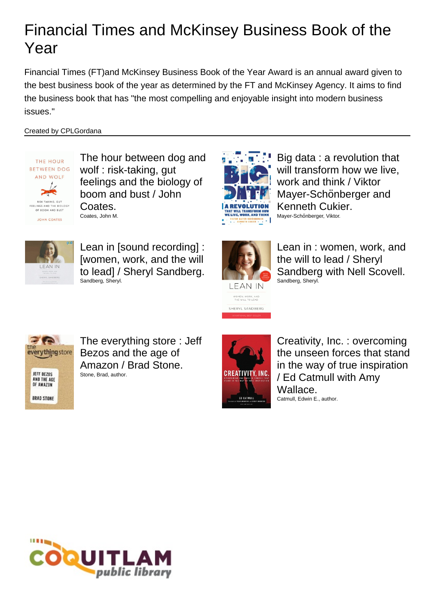Financial Times (FT)and McKinsey Business Book of the Year Award is an annual award given to the best business book of the year as determined by the FT and McKinsey Agency. It aims to find the business book that has "the most compelling and enjoyable insight into modern business issues."

#### Created by CPLGordana



The hour between dog and wolf : risk-taking, gut feelings and the biology of boom and bust / John Coates. Coates, John M.



Big data : a revolution that will transform how we live, work and think / Viktor Mayer-Schönberger and Kenneth Cukier. Mayer-Schönberger, Viktor.



Lean in [sound recording] : [women, work, and the will to lead] / Sheryl Sandberg. Sandberg, Sheryl.



Lean in : women, work, and the will to lead / Sheryl Sandberg with Nell Scovell. Sandberg, Sheryl.



The everything store : Jeff Bezos and the age of Amazon / Brad Stone. Stone, Brad, author.



Creativity, Inc. : overcoming the unseen forces that stand in the way of true inspiration / Ed Catmull with Amy Wallace. Catmull, Edwin E., author.

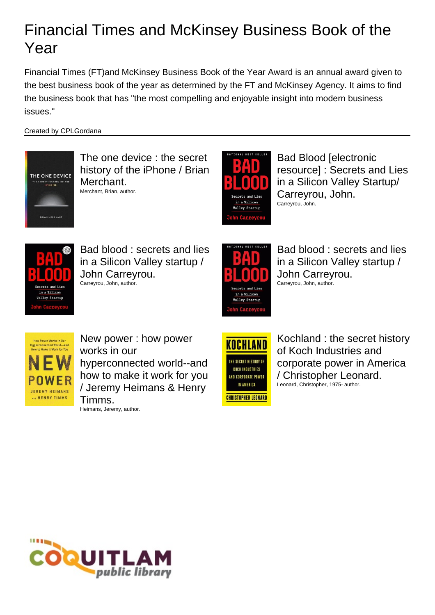Financial Times (FT)and McKinsey Business Book of the Year Award is an annual award given to the best business book of the year as determined by the FT and McKinsey Agency. It aims to find the business book that has "the most compelling and enjoyable insight into modern business issues."

Created by CPLGordana



The one device : the secret history of the iPhone / Brian Merchant. Merchant, Brian, author.



Bad Blood [electronic resource] : Secrets and Lies in a Silicon Valley Startup/ Carreyrou, John. Carreyrou, John.



Bad blood : secrets and lies in a Silicon Valley startup / John Carreyrou. Carreyrou, John, author.



KOCHLAND

THE SECRET HISTORY OF **KOCH INDUSTRIES** 

Bad blood : secrets and lies in a Silicon Valley startup / John Carreyrou. Carreyrou, John, author.



New power : how power works in our hyperconnected world--and how to make it work for you / Jeremy Heimans & Henry Timms. Heimans, Jeremy, author.

AND CORPORATE POWER IN AMERICA **CHRISTOPHER LEONARD**  Kochland : the secret history of Koch Industries and corporate power in America / Christopher Leonard. Leonard, Christopher, 1975- author.

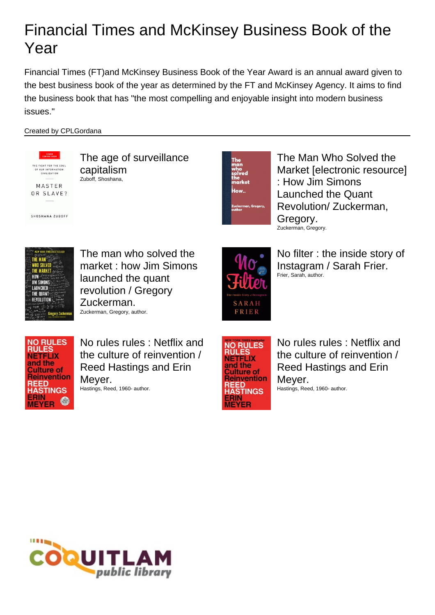Financial Times (FT)and McKinsey Business Book of the Year Award is an annual award given to the best business book of the year as determined by the FT and McKinsey Agency. It aims to find the business book that has "the most compelling and enjoyable insight into modern business issues."

#### Created by CPLGordana



The age of surveillance capitalism Zuboff, Shoshana,



The Man Who Solved the Market [electronic resource] : How Jim Simons Launched the Quant Revolution/ Zuckerman, Gregory. Zuckerman, Gregory.



The man who solved the market : how Jim Simons launched the quant revolution / Gregory Zuckerman. Zuckerman, Gregory, author.



No filter : the inside story of Instagram / Sarah Frier. Frier, Sarah, author.



No rules rules : Netflix and the culture of reinvention / Reed Hastings and Erin Meyer. Hastings, Reed, 1960- author.



No rules rules : Netflix and the culture of reinvention / Reed Hastings and Erin Meyer. Hastings, Reed, 1960- author.